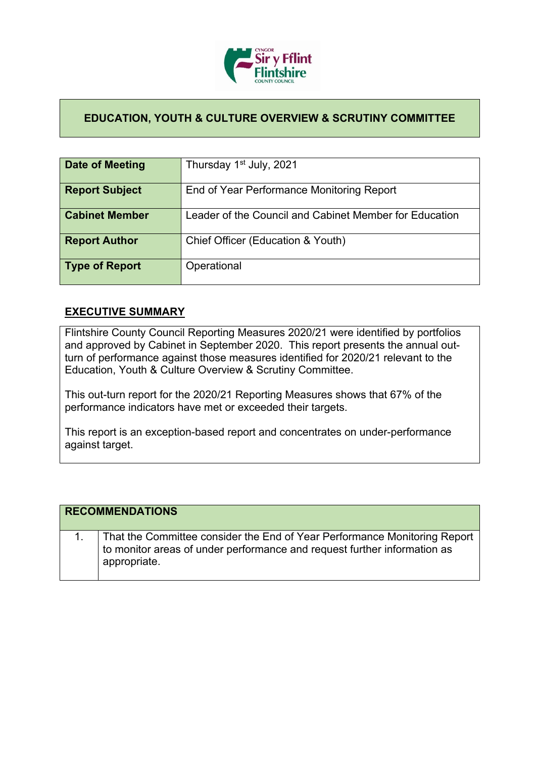

## **EDUCATION, YOUTH & CULTURE OVERVIEW & SCRUTINY COMMITTEE**

| Date of Meeting       | Thursday 1 <sup>st</sup> July, 2021                    |
|-----------------------|--------------------------------------------------------|
| <b>Report Subject</b> | End of Year Performance Monitoring Report              |
| <b>Cabinet Member</b> | Leader of the Council and Cabinet Member for Education |
| <b>Report Author</b>  | Chief Officer (Education & Youth)                      |
| Type of Report        | Operational                                            |

## **EXECUTIVE SUMMARY**

Flintshire County Council Reporting Measures 2020/21 were identified by portfolios and approved by Cabinet in September 2020. This report presents the annual outturn of performance against those measures identified for 2020/21 relevant to the Education, Youth & Culture Overview & Scrutiny Committee.

This out-turn report for the 2020/21 Reporting Measures shows that 67% of the performance indicators have met or exceeded their targets.

This report is an exception-based report and concentrates on under-performance against target.

| <b>RECOMMENDATIONS</b> |                                                                                                                                                                       |  |
|------------------------|-----------------------------------------------------------------------------------------------------------------------------------------------------------------------|--|
|                        | That the Committee consider the End of Year Performance Monitoring Report<br>to monitor areas of under performance and request further information as<br>appropriate. |  |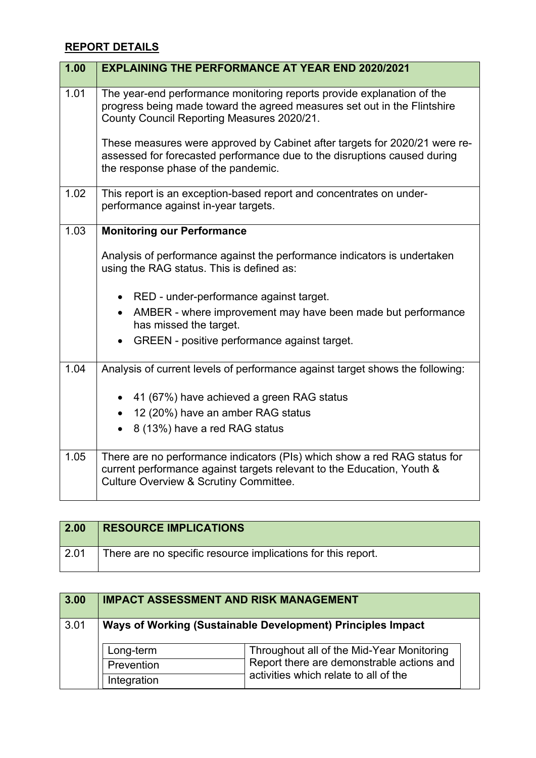## **REPORT DETAILS**

| 1.00 | <b>EXPLAINING THE PERFORMANCE AT YEAR END 2020/2021</b>                                                                                                                                                  |
|------|----------------------------------------------------------------------------------------------------------------------------------------------------------------------------------------------------------|
| 1.01 | The year-end performance monitoring reports provide explanation of the<br>progress being made toward the agreed measures set out in the Flintshire<br>County Council Reporting Measures 2020/21.         |
|      | These measures were approved by Cabinet after targets for 2020/21 were re-<br>assessed for forecasted performance due to the disruptions caused during<br>the response phase of the pandemic.            |
| 1.02 | This report is an exception-based report and concentrates on under-<br>performance against in-year targets.                                                                                              |
| 1.03 | <b>Monitoring our Performance</b>                                                                                                                                                                        |
|      | Analysis of performance against the performance indicators is undertaken<br>using the RAG status. This is defined as:                                                                                    |
|      | RED - under-performance against target.                                                                                                                                                                  |
|      | AMBER - where improvement may have been made but performance<br>has missed the target.                                                                                                                   |
|      | GREEN - positive performance against target.                                                                                                                                                             |
| 1.04 | Analysis of current levels of performance against target shows the following:                                                                                                                            |
|      | 41 (67%) have achieved a green RAG status                                                                                                                                                                |
|      | 12 (20%) have an amber RAG status                                                                                                                                                                        |
|      | 8 (13%) have a red RAG status                                                                                                                                                                            |
| 1.05 | There are no performance indicators (PIs) which show a red RAG status for<br>current performance against targets relevant to the Education, Youth &<br><b>Culture Overview &amp; Scrutiny Committee.</b> |

| 2.00 | <b>RESOURCE IMPLICATIONS</b>                                 |
|------|--------------------------------------------------------------|
| 2.01 | There are no specific resource implications for this report. |

| 3.00 | <b>IMPACT ASSESSMENT AND RISK MANAGEMENT</b>                |                                           |  |
|------|-------------------------------------------------------------|-------------------------------------------|--|
| 3.01 | Ways of Working (Sustainable Development) Principles Impact |                                           |  |
|      | Long-term                                                   | Throughout all of the Mid-Year Monitoring |  |
|      | Prevention                                                  | Report there are demonstrable actions and |  |
|      | Integration                                                 | activities which relate to all of the     |  |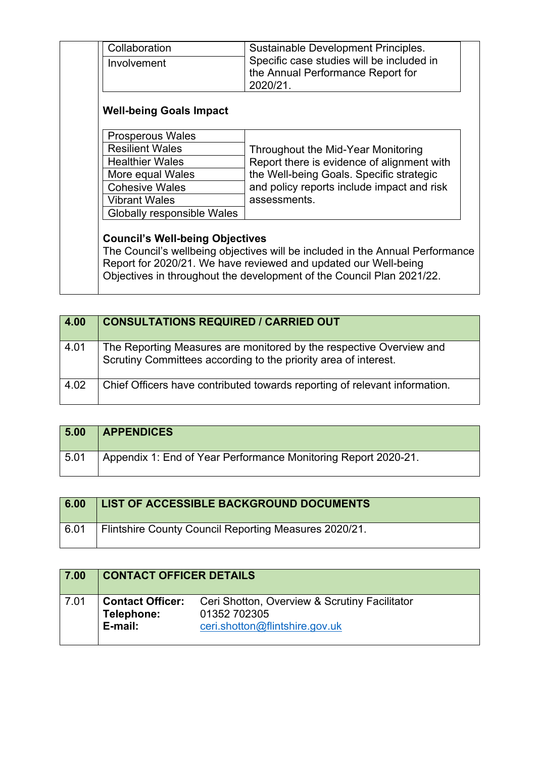| Involvement                    | Specific case studies will be included in<br>the Annual Performance Report for<br>2020/21. |
|--------------------------------|--------------------------------------------------------------------------------------------|
| <b>Well-being Goals Impact</b> |                                                                                            |
| <b>Prosperous Wales</b>        |                                                                                            |
| <b>Resilient Wales</b>         | Throughout the Mid-Year Monitoring                                                         |
| <b>Healthier Wales</b>         | Report there is evidence of alignment with                                                 |
| More equal Wales               | the Well-being Goals. Specific strategic                                                   |
| <b>Cohesive Wales</b>          | and policy reports include impact and risk                                                 |
| <b>Vibrant Wales</b>           | assessments.                                                                               |
|                                |                                                                                            |

| 4.00 | <b>CONSULTATIONS REQUIRED / CARRIED OUT</b>                                                                                            |
|------|----------------------------------------------------------------------------------------------------------------------------------------|
| 4.01 | The Reporting Measures are monitored by the respective Overview and<br>Scrutiny Committees according to the priority area of interest. |
| 4.02 | Chief Officers have contributed towards reporting of relevant information.                                                             |

| 5.00 | <b>APPENDICES</b>                                              |
|------|----------------------------------------------------------------|
| 5.01 | Appendix 1: End of Year Performance Monitoring Report 2020-21. |

| 6.00 | LIST OF ACCESSIBLE BACKGROUND DOCUMENTS               |
|------|-------------------------------------------------------|
| 6.01 | Flintshire County Council Reporting Measures 2020/21. |

| 7.00 | <b>CONTACT OFFICER DETAILS</b>                   |                                                                                                 |
|------|--------------------------------------------------|-------------------------------------------------------------------------------------------------|
| 7.01 | <b>Contact Officer:</b><br>Telephone:<br>E-mail: | Ceri Shotton, Overview & Scrutiny Facilitator<br>01352 702305<br>ceri.shotton@flintshire.gov.uk |